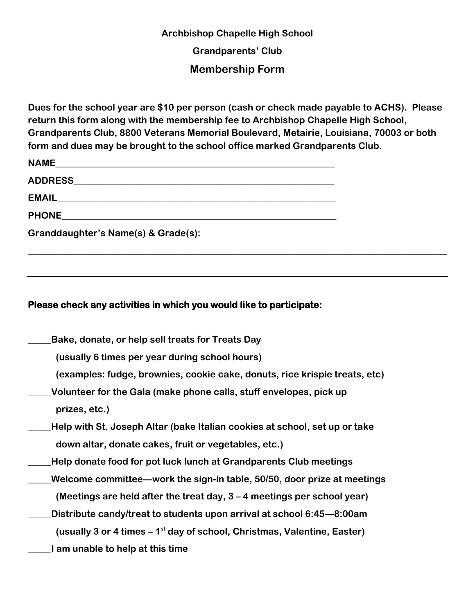## **Archbishop Chapelle High School**

**Grandparents' Club**

## **Membership Form**

**Dues for the school year are \$10 per person (cash or check made payable to ACHS). Please return this form along with the membership fee to Archbishop Chapelle High School, Grandparents Club, 8800 Veterans Memorial Boulevard, Metairie, Louisiana, 70003 or both form and dues may be brought to the school office marked Grandparents Club.**

**\_\_\_\_\_\_\_\_\_\_\_\_\_\_\_\_\_\_\_\_\_\_\_\_\_\_\_\_\_\_\_\_\_\_\_\_\_\_\_\_\_\_\_\_\_\_\_\_\_\_\_\_\_\_\_\_\_\_\_\_\_\_\_\_\_\_\_\_\_\_\_\_\_\_\_\_\_\_\_\_\_\_\_\_\_\_\_\_\_\_**

| EMAIL <b>EMAIL</b>                  |
|-------------------------------------|
| <b>PHONE Example 20</b>             |
| Granddaughter's Name(s) & Grade(s): |

## **Please check any activities in which you would like to participate:**

- **\_\_\_\_\_Bake, donate, or help sell treats for Treats Day** 
	- **(usually 6 times per year during school hours)**
	- **(examples: fudge, brownies, cookie cake, donuts, rice krispie treats, etc)**
- **\_\_\_\_\_Volunteer for the Gala (make phone calls, stuff envelopes, pick up prizes, etc.)**
- **\_\_\_\_\_Help with St. Joseph Altar (bake Italian cookies at school, set up or take down altar, donate cakes, fruit or vegetables, etc.)**
- **\_\_\_\_\_Help donate food for pot luck lunch at Grandparents Club meetings**
- **\_\_\_\_\_Welcome committee—work the sign-in table, 50/50, door prize at meetings (Meetings are held after the treat day, 3 – 4 meetings per school year)**
- **\_\_\_\_\_Distribute candy/treat to students upon arrival at school 6:45—8:00am (usually 3 or 4 times – 1 st day of school, Christmas, Valentine, Easter)**
- **\_\_\_\_\_I am unable to help at this time**